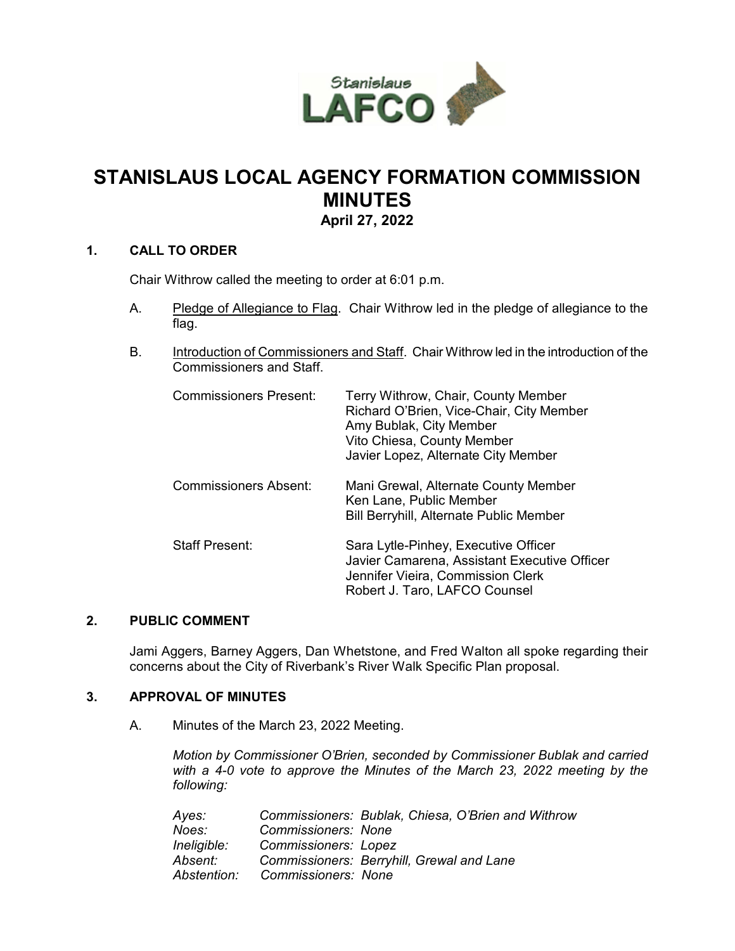

# **STANISLAUS LOCAL AGENCY FORMATION COMMISSION MINUTES April 27, 2022**

## **1. CALL TO ORDER**

Chair Withrow called the meeting to order at 6:01 p.m.

- A. Pledge of Allegiance to Flag. Chair Withrow led in the pledge of allegiance to the flag.
- B. Introduction of Commissioners and Staff. Chair Withrow led in the introduction of the Commissioners and Staff.

| <b>Commissioners Present:</b> | Terry Withrow, Chair, County Member<br>Richard O'Brien, Vice-Chair, City Member<br>Amy Bublak, City Member<br>Vito Chiesa, County Member<br>Javier Lopez, Alternate City Member |
|-------------------------------|---------------------------------------------------------------------------------------------------------------------------------------------------------------------------------|
| <b>Commissioners Absent:</b>  | Mani Grewal, Alternate County Member<br>Ken Lane, Public Member<br><b>Bill Berryhill, Alternate Public Member</b>                                                               |
| Staff Present:                | Sara Lytle-Pinhey, Executive Officer<br>Javier Camarena, Assistant Executive Officer<br>Jennifer Vieira, Commission Clerk<br>Robert J. Taro, LAFCO Counsel                      |

#### **2. PUBLIC COMMENT**

Jami Aggers, Barney Aggers, Dan Whetstone, and Fred Walton all spoke regarding their concerns about the City of Riverbank's River Walk Specific Plan proposal.

## **3. APPROVAL OF MINUTES**

A. Minutes of the March 23, 2022 Meeting.

*Motion by Commissioner O'Brien, seconded by Commissioner Bublak and carried with a 4-0 vote to approve the Minutes of the March 23, 2022 meeting by the following:* 

| Ayes:       |                      | Commissioners: Bublak, Chiesa, O'Brien and Withrow |
|-------------|----------------------|----------------------------------------------------|
| Noes:       | Commissioners: None  |                                                    |
| Ineligible: | Commissioners: Lopez |                                                    |
| Absent:     |                      | Commissioners: Berryhill, Grewal and Lane          |
| Abstention: | Commissioners: None  |                                                    |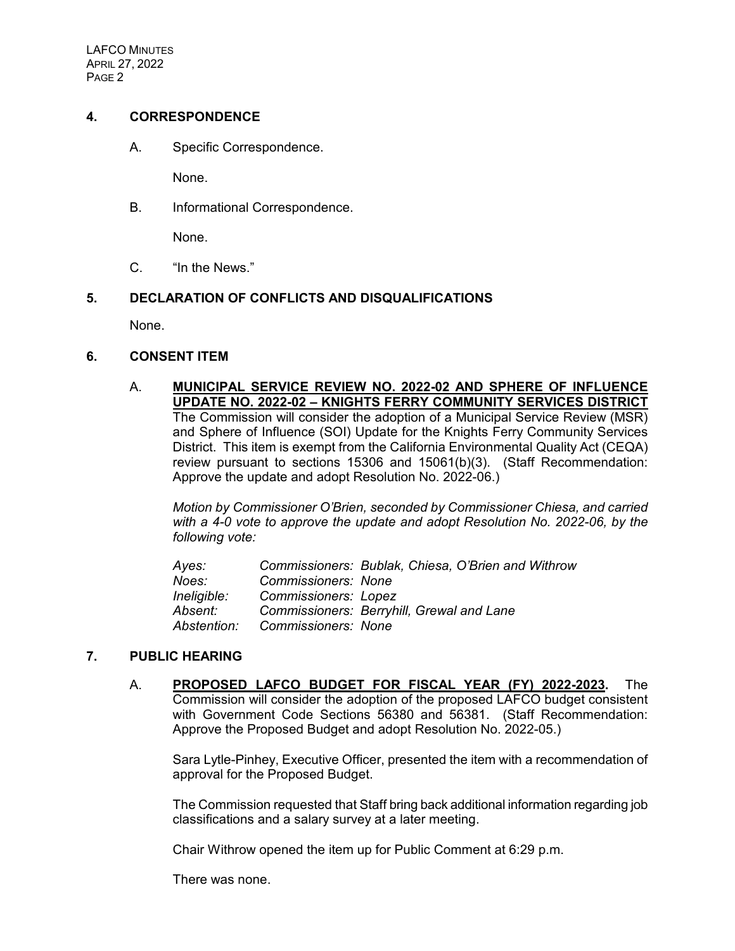LAFCO MINUTES APRIL 27, 2022 PAGE 2

#### **4. CORRESPONDENCE**

A. Specific Correspondence.

None.

B. Informational Correspondence.

None.

C. "In the News."

#### **5. DECLARATION OF CONFLICTS AND DISQUALIFICATIONS**

None.

#### **6. CONSENT ITEM**

A. **MUNICIPAL SERVICE REVIEW NO. 2022-02 AND SPHERE OF INFLUENCE UPDATE NO. 2022-02 – KNIGHTS FERRY COMMUNITY SERVICES DISTRICT** The Commission will consider the adoption of a Municipal Service Review (MSR) and Sphere of Influence (SOI) Update for the Knights Ferry Community Services District. This item is exempt from the California Environmental Quality Act (CEQA) review pursuant to sections 15306 and 15061(b)(3). (Staff Recommendation: Approve the update and adopt Resolution No. 2022-06.)

*Motion by Commissioner O'Brien, seconded by Commissioner Chiesa, and carried with a 4-0 vote to approve the update and adopt Resolution No. 2022-06, by the following vote:*

| Ayes:       |                             | Commissioners: Bublak, Chiesa, O'Brien and Withrow |
|-------------|-----------------------------|----------------------------------------------------|
| Noes:       | Commissioners: None         |                                                    |
| Ineligible: | <b>Commissioners: Lopez</b> |                                                    |
| Absent:     |                             | Commissioners: Berryhill, Grewal and Lane          |
| Abstention: | Commissioners: None         |                                                    |

## **7. PUBLIC HEARING**

A. **PROPOSED LAFCO BUDGET FOR FISCAL YEAR (FY) 2022-2023.** The Commission will consider the adoption of the proposed LAFCO budget consistent with Government Code Sections 56380 and 56381. (Staff Recommendation: Approve the Proposed Budget and adopt Resolution No. 2022-05.)

Sara Lytle-Pinhey, Executive Officer, presented the item with a recommendation of approval for the Proposed Budget.

The Commission requested that Staff bring back additional information regarding job classifications and a salary survey at a later meeting.

Chair Withrow opened the item up for Public Comment at 6:29 p.m.

There was none.